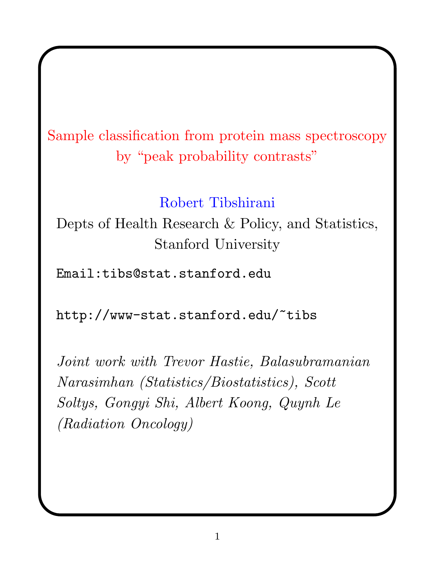Sample classification from protein mass spectroscopy by "peak probability contrasts"

Robert Tibshirani

Depts of Health Research & Policy, and Statistics, Stanford University

Email:tibs@stat.stanford.edu

http://www-stat.stanford.edu/~tibs

Joint work with Trevor Hastie, Balasubramanian Narasimhan (Statistics/Biostatistics), Scott Soltys, Gongyi Shi, Albert Koong, Quynh Le (Radiation Oncology)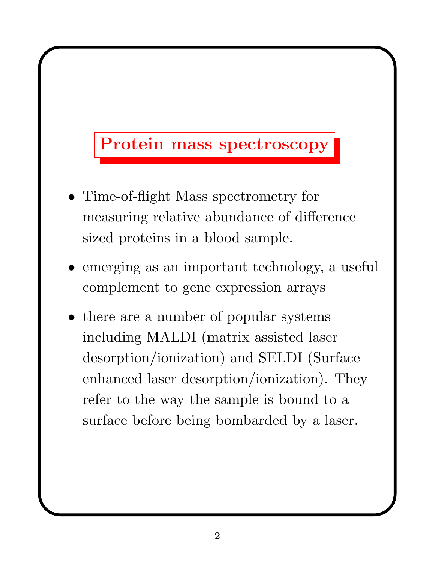#### Protein mass spectroscopy

- Time-of-flight Mass spectrometry for measuring relative abundance of difference sized proteins in a blood sample.
- emerging as an important technology, a useful complement to gene expression arrays
- there are a number of popular systems including MALDI (matrix assisted laser desorption/ionization) and SELDI (Surface enhanced laser desorption/ionization). They refer to the way the sample is bound to a surface before being bombarded by a laser.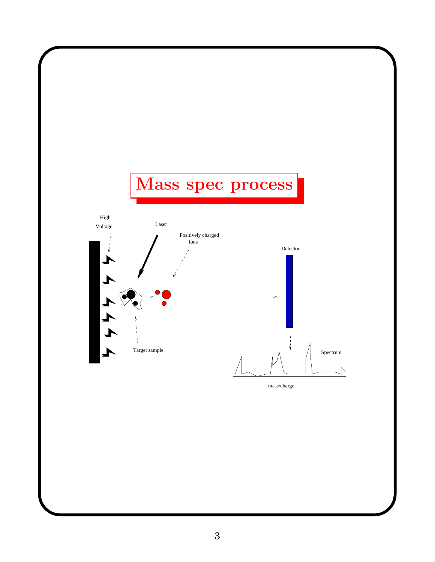# Mass spec process



mass/charge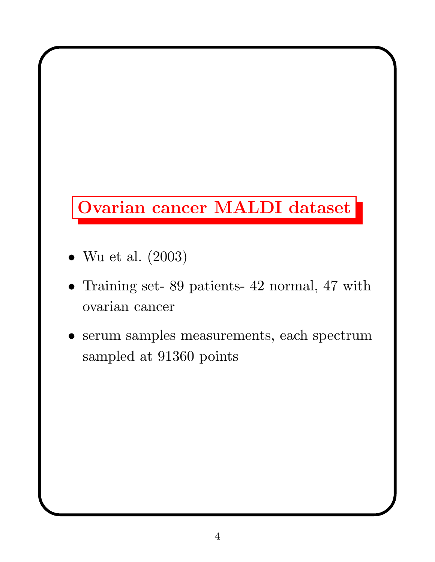## Ovarian cancer MALDI dataset

- Wu et al. (2003)
- Training set- 89 patients- 42 normal, 47 with ovarian cancer
- serum samples measurements, each spectrum sampled at 91360 points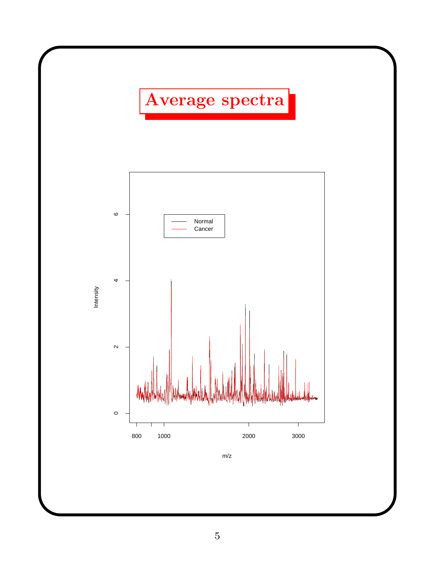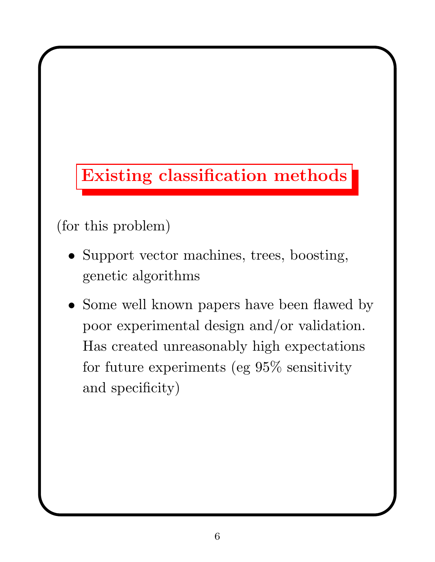## Existing classification methods

#### (for this problem)

- Support vector machines, trees, boosting, genetic algorithms
- Some well known papers have been flawed by poor experimental design and/or validation. Has created unreasonably high expectations for future experiments (eg 95% sensitivity and specificity)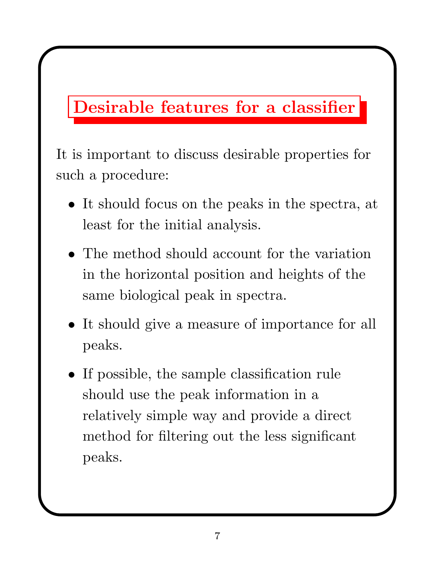## Desirable features for a classifier

It is important to discuss desirable properties for such a procedure:

- It should focus on the peaks in the spectra, at least for the initial analysis.
- The method should account for the variation in the horizontal position and heights of the same biological peak in spectra.
- It should give a measure of importance for all peaks.
- If possible, the sample classification rule should use the peak information in a relatively simple way and provide a direct method for filtering out the less significant peaks.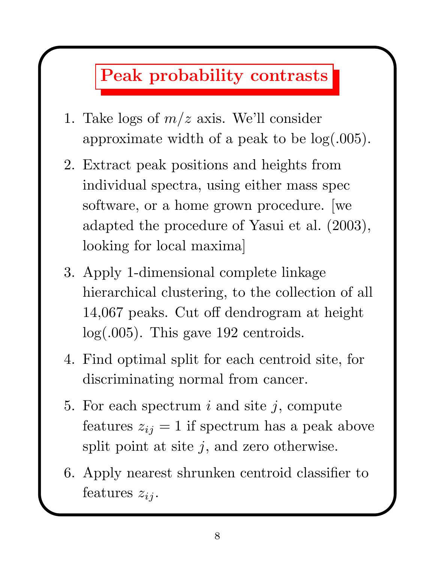## Peak probability contrasts

- 1. Take logs of  $m/z$  axis. We'll consider approximate width of a peak to be log(.005).
- 2. Extract peak positions and heights from individual spectra, using either mass spec software, or a home grown procedure. [we adapted the procedure of Yasui et al. (2003), looking for local maxima]
- 3. Apply 1-dimensional complete linkage hierarchical clustering, to the collection of all 14,067 peaks. Cut off dendrogram at height log(.005). This gave 192 centroids.
- 4. Find optimal split for each centroid site, for discriminating normal from cancer.
- 5. For each spectrum  $i$  and site  $j$ , compute features  $z_{ij} = 1$  if spectrum has a peak above split point at site  $j$ , and zero otherwise.
- 6. Apply nearest shrunken centroid classifier to features  $z_{ij}$ .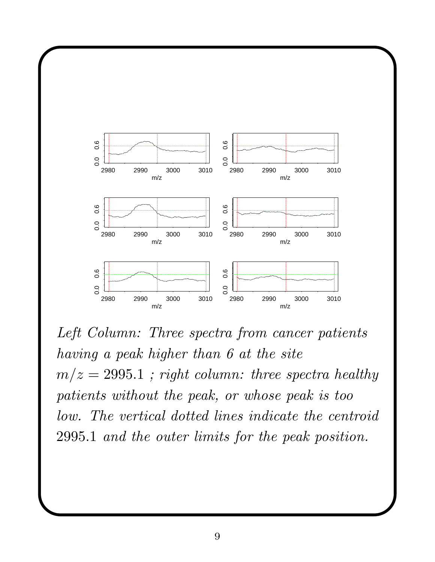

Left Column: Three spectra from cancer patients having a peak higher than 6 at the site  $m/z = 2995.1$ ; right column: three spectra healthy patients without the peak, or whose peak is too low. The vertical dotted lines indicate the centroid 2995.1 and the outer limits for the peak position.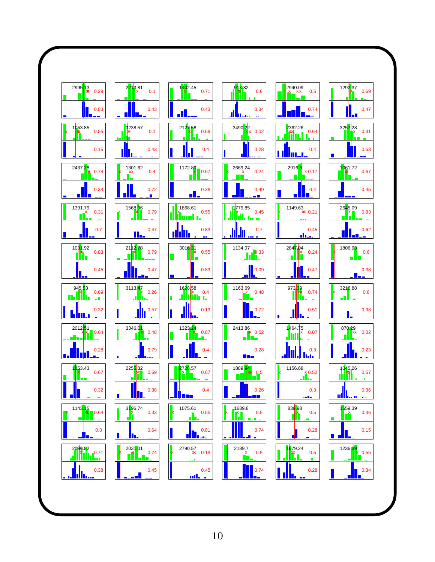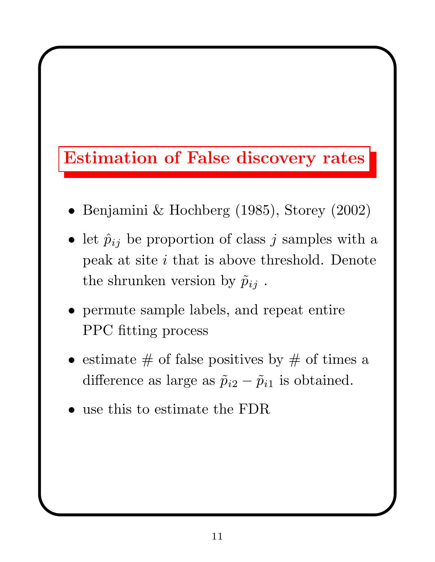#### Estimation of False discovery rates

- Benjamini & Hochberg (1985), Storey (2002)
- let  $\hat{p}_{ij}$  be proportion of class j samples with a peak at site i that is above threshold. Denote the shrunken version by  $\tilde{p}_{ij}$ .
- permute sample labels, and repeat entire PPC fitting process
- estimate  $\#$  of false positives by  $\#$  of times a difference as large as  $\tilde{p}_{i2} - \tilde{p}_{i1}$  is obtained.
- use this to estimate the FDR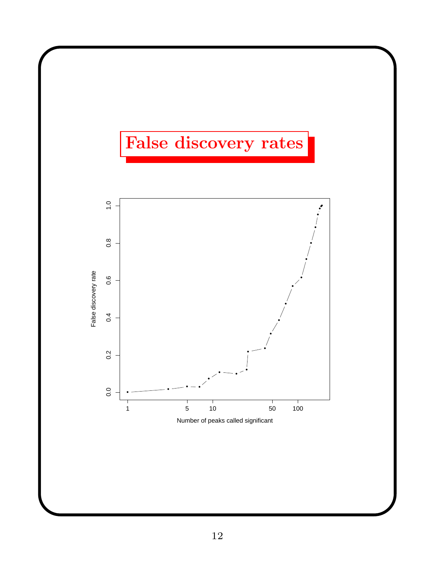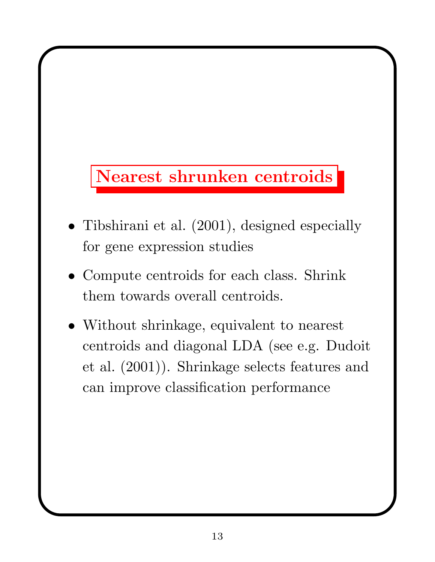## Nearest shrunken centroids

- Tibshirani et al. (2001), designed especially for gene expression studies
- Compute centroids for each class. Shrink them towards overall centroids.
- Without shrinkage, equivalent to nearest centroids and diagonal LDA (see e.g. Dudoit et al. (2001)). Shrinkage selects features and can improve classification performance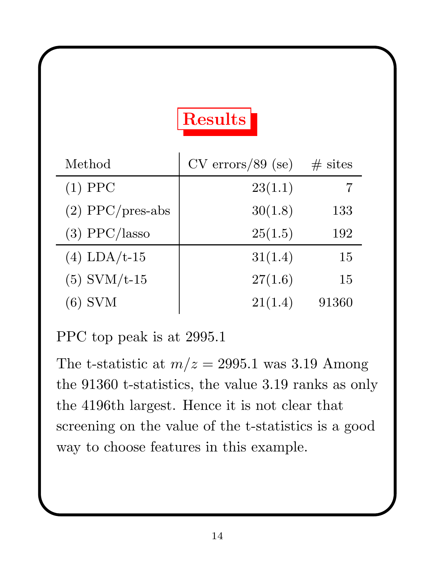## **Results**

| Method             | $CV$ errors/89 (se) | $#$ sites |
|--------------------|---------------------|-----------|
| $(1)$ PPC          | 23(1.1)             |           |
| $(2)$ PPC/pres-abs | 30(1.8)             | 133       |
| $(3)$ PPC/lasso    | 25(1.5)             | 192       |
| $(4)$ LDA/t-15     | 31(1.4)             | 15        |
| $(5)$ SVM/t-15     | 27(1.6)             | 15        |
| $(6)$ SVM          | 21(1.4)             | 91360     |

PPC top peak is at 2995.1

The t-statistic at  $m/z = 2995.1$  was 3.19 Among the 91360 t-statistics, the value 3.19 ranks as only the 4196th largest. Hence it is not clear that screening on the value of the t-statistics is a good way to choose features in this example.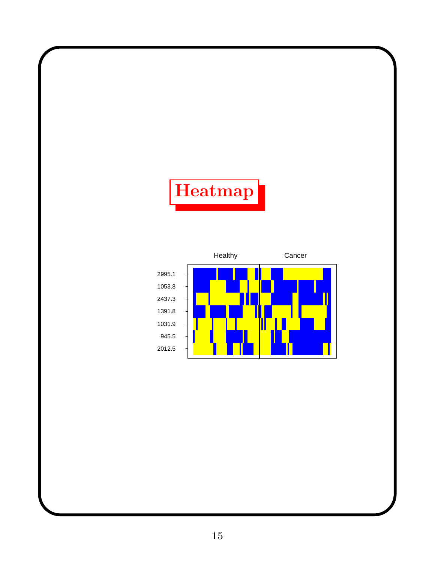# **Heatmap**

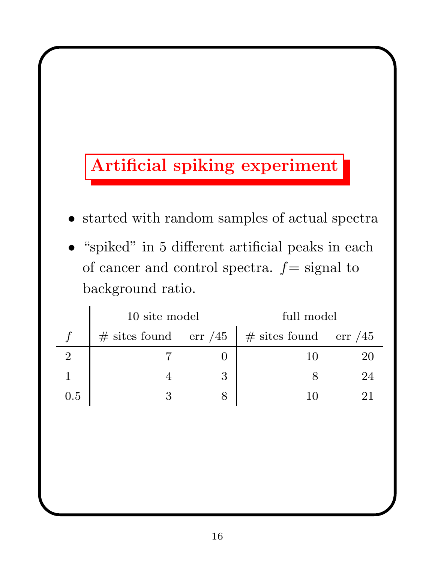## Artificial spiking experiment

- started with random samples of actual spectra
- "spiked" in 5 different artificial peaks in each of cancer and control spectra.  $f$  = signal to background ratio.

|                | 10 site model |   | full model                                    |  |
|----------------|---------------|---|-----------------------------------------------|--|
|                |               |   | # sites found err /45   # sites found err /45 |  |
| $\overline{2}$ |               |   |                                               |  |
|                |               | 3 |                                               |  |
| 0.5            |               |   |                                               |  |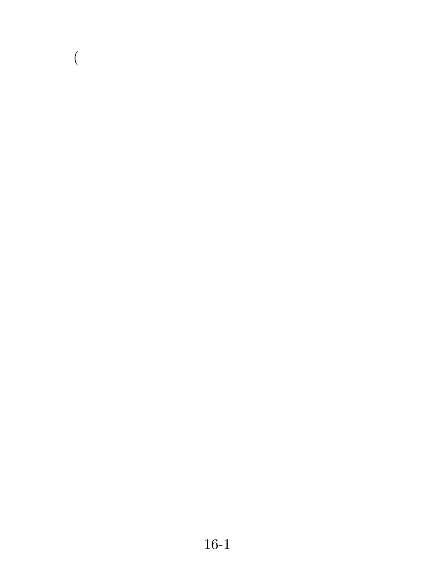$\Big($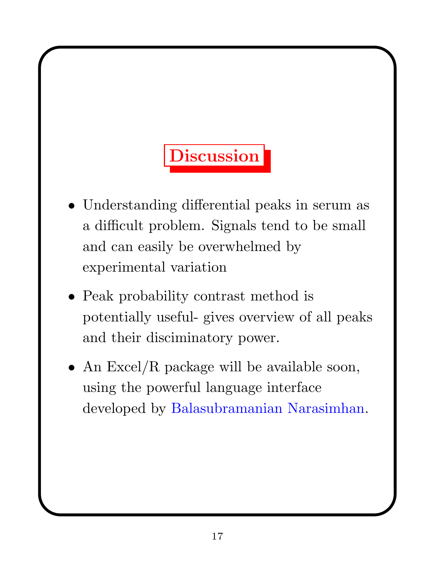## **Discussion**

- Understanding differential peaks in serum as a difficult problem. Signals tend to be small and can easily be overwhelmed by experimental variation
- Peak probability contrast method is potentially useful- gives overview of all peaks and their disciminatory power.
- An Excel/R package will be available soon, using the powerful language interface developed by Balasubramanian Narasimhan.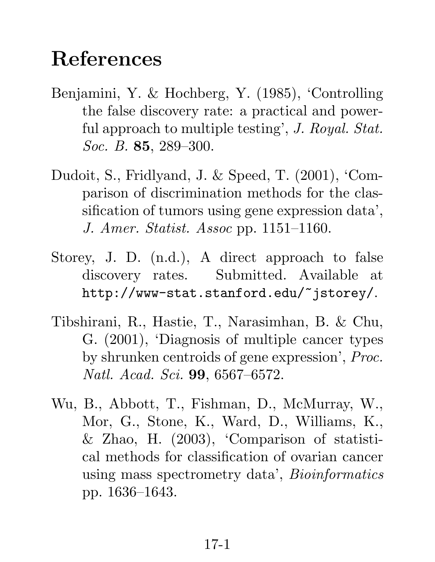## References

- Benjamini, Y. & Hochberg, Y. (1985), 'Controlling the false discovery rate: a practical and powerful approach to multiple testing', J. Royal. Stat. Soc. B. **85**, 289–300.
- Dudoit, S., Fridlyand, J. & Speed, T. (2001), 'Comparison of discrimination methods for the classification of tumors using gene expression data', J. Amer. Statist. Assoc pp. 1151–1160.
- Storey, J. D. (n.d.), A direct approach to false discovery rates. Submitted. Available at http://www-stat.stanford.edu/~jstorey/.
- Tibshirani, R., Hastie, T., Narasimhan, B. & Chu, G. (2001), 'Diagnosis of multiple cancer types by shrunken centroids of gene expression', Proc. Natl. Acad. Sci. 99, 6567–6572.
- Wu, B., Abbott, T., Fishman, D., McMurray, W., Mor, G., Stone, K., Ward, D., Williams, K., & Zhao, H. (2003), 'Comparison of statistical methods for classification of ovarian cancer using mass spectrometry data', Bioinformatics pp. 1636–1643.